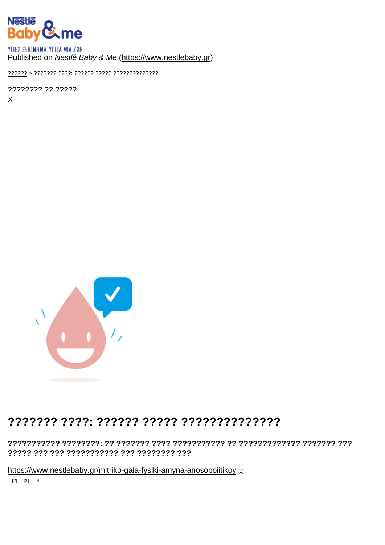## Published on Nestlé Baby & Me [\(https://www.nestlebaby.gr](https://www.nestlebaby.gr))

[??????](https://www.nestlebaby.gr/) > ??????? ????: ?????? ????? ??????????????

???????? ?? ????? X

## ??????? ????: ?????? ????? ??????????????

??????????? ????????: ?? ??????? ???? ??????????? ?? ????????????? ??????? ??? ????? ??? ??? ??????????? ??? ???????? ???

<https://www.nestlebaby.gr/mitriko-gala-fysiki-amyna-anosopoiitikoy> [1] [2] [3] [4]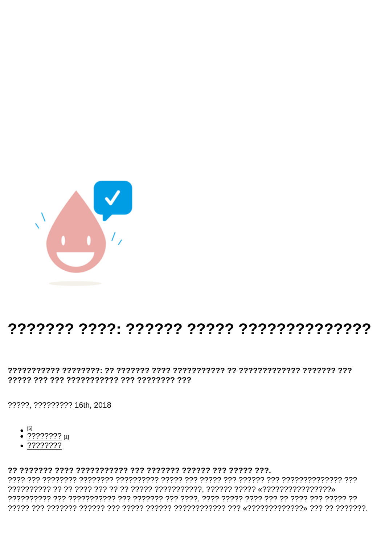## 

????? ??? ??? ??????????? ??? ???????? ???

?????, ????????? 16th, 2018

 $[5]$ 

???<u>?????</u> [1]

????????